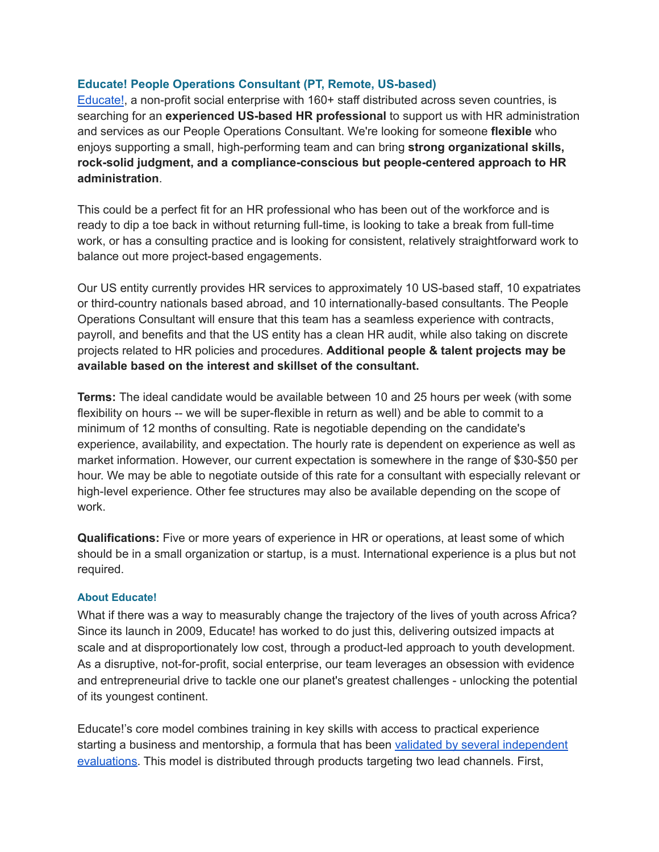## **Educate! People Operations Consultant (PT, Remote, US-based)**

[Educate!](https://www.experienceeducate.org/), a non-profit social enterprise with 160+ staff distributed across seven countries, is searching for an **experienced US-based HR professional** to support us with HR administration and services as our People Operations Consultant. We're looking for someone **flexible** who enjoys supporting a small, high-performing team and can bring **strong organizational skills, rock-solid judgment, and a compliance-conscious but people-centered approach to HR administration**.

This could be a perfect fit for an HR professional who has been out of the workforce and is ready to dip a toe back in without returning full-time, is looking to take a break from full-time work, or has a consulting practice and is looking for consistent, relatively straightforward work to balance out more project-based engagements.

Our US entity currently provides HR services to approximately 10 US-based staff, 10 expatriates or third-country nationals based abroad, and 10 internationally-based consultants. The People Operations Consultant will ensure that this team has a seamless experience with contracts, payroll, and benefits and that the US entity has a clean HR audit, while also taking on discrete projects related to HR policies and procedures. **Additional people & talent projects may be available based on the interest and skillset of the consultant.**

**Terms:** The ideal candidate would be available between 10 and 25 hours per week (with some flexibility on hours -- we will be super-flexible in return as well) and be able to commit to a minimum of 12 months of consulting. Rate is negotiable depending on the candidate's experience, availability, and expectation. The hourly rate is dependent on experience as well as market information. However, our current expectation is somewhere in the range of \$30-\$50 per hour. We may be able to negotiate outside of this rate for a consultant with especially relevant or high-level experience. Other fee structures may also be available depending on the scope of work.

**Qualifications:** Five or more years of experience in HR or operations, at least some of which should be in a small organization or startup, is a must. International experience is a plus but not required.

## **About Educate!**

What if there was a way to measurably change the trajectory of the lives of youth across Africa? Since its launch in 2009, Educate! has worked to do just this, delivering outsized impacts at scale and at disproportionately low cost, through a product-led approach to youth development. As a disruptive, not-for-profit, social enterprise, our team leverages an obsession with evidence and entrepreneurial drive to tackle one our planet's greatest challenges - unlocking the potential of its youngest continent.

Educate!'s core model combines training in key skills with access to practical experience starting a business and mentorship, a formula that has been validated by several [independent](https://www.experienceeducate.org/results) [evaluations.](https://www.experienceeducate.org/results) This model is distributed through products targeting two lead channels. First,